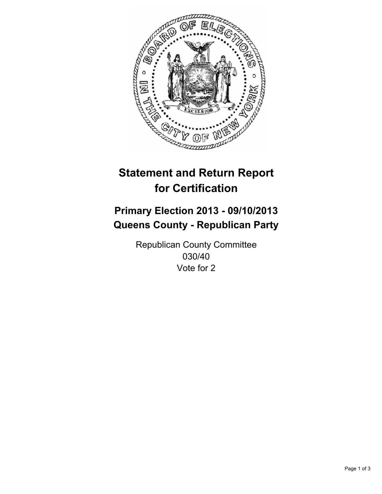

# **Statement and Return Report for Certification**

# **Primary Election 2013 - 09/10/2013 Queens County - Republican Party**

Republican County Committee 030/40 Vote for 2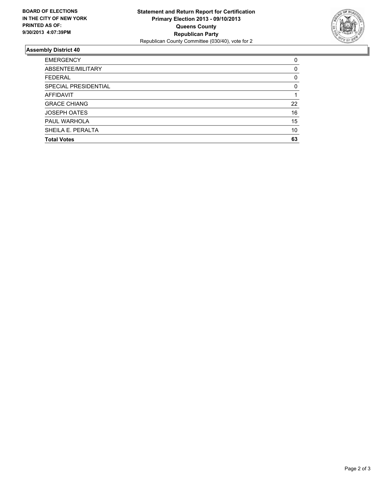

## **Assembly District 40**

| 0        |
|----------|
| $\Omega$ |
| 0        |
| $\Omega$ |
|          |
| 22       |
| 16       |
| 15       |
| 10       |
| 63       |
|          |